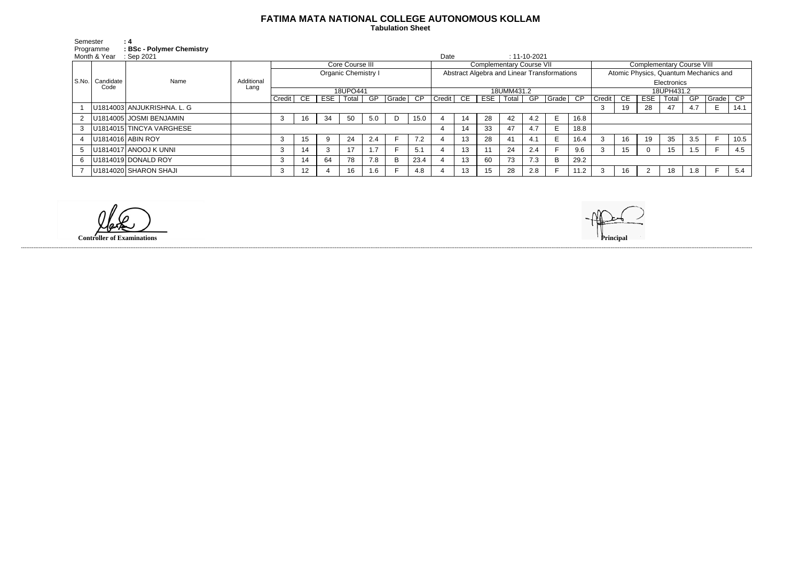## **FATIMA MATA NATIONAL COLLEGE AUTONOMOUS KOLLAM**

 **Tabulation Sheet** 

| Semester<br>Programme |                           | : 4<br><b>BSc-Polymer Chemistry</b> |                    |                            |     |     |       |     |                                             |            |        |    |            |       |                                       |                    |            |        |     |            |             |     |               |      |
|-----------------------|---------------------------|-------------------------------------|--------------------|----------------------------|-----|-----|-------|-----|---------------------------------------------|------------|--------|----|------------|-------|---------------------------------------|--------------------|------------|--------|-----|------------|-------------|-----|---------------|------|
| Month & Year          |                           | Sep 2021                            |                    |                            |     |     |       |     |                                             |            | Date   |    |            |       | $: 11 - 10 - 2021$                    |                    |            |        |     |            |             |     |               |      |
|                       | S.No.   Candidate<br>Code | Name                                | Additional<br>Lang | Core Course III            |     |     |       |     | <b>Complementary Course VII</b>             |            |        |    |            |       | <b>Complementary Course VIII</b>      |                    |            |        |     |            |             |     |               |      |
|                       |                           |                                     |                    | <b>Organic Chemistry I</b> |     |     |       |     | Abstract Algebra and Linear Transformations |            |        |    |            |       | Atomic Physics, Quantum Mechanics and |                    |            |        |     |            |             |     |               |      |
|                       |                           |                                     |                    |                            |     |     |       |     |                                             |            |        |    |            |       |                                       |                    |            |        |     |            | Electronics |     |               |      |
|                       |                           |                                     |                    | 18UPO441                   |     |     |       |     |                                             | 18UMM431.2 |        |    |            |       |                                       |                    | 18UPH431.2 |        |     |            |             |     |               |      |
|                       |                           |                                     |                    | Credit                     | CE. | ESE | Total | GP  | Grade                                       | CP         | Credit | CE | <b>ESE</b> | Total | GP                                    | $\sqrt{Gradel}$ CP |            | Credit | CE. | <b>ESE</b> | Total       | GP  | $ $ Grade $ $ | CP   |
|                       |                           | U1814003 ANJUKRISHNA. L. G          |                    |                            |     |     |       |     |                                             |            |        |    |            |       |                                       |                    |            | 3      | 19  | 28         | 47          | 4.7 | E.            | 14.1 |
| $\mathbf{2}^{\circ}$  |                           | U1814005 JOSMI BENJAMIN             |                    |                            | 16  | 34  | 50    | 5.0 | D                                           | 15.0       |        | 14 | 28         | 42    | 4.2                                   | E                  | 16.8       |        |     |            |             |     |               |      |
|                       |                           | U1814015 TINCYA VARGHESE            |                    |                            |     |     |       |     |                                             |            |        | 14 | 33         | 47    | 4.7                                   | E.                 | 18.8       |        |     |            |             |     |               |      |
|                       |                           | U1814016 ABIN ROY                   |                    |                            | 15  | 9   | 24    | 2.4 |                                             | 7.2        |        | 13 | 28         | 41    | 4.1                                   | E.                 | 16.4       |        | 16  | 19         | 35          | 3.5 | F.            | 10.5 |
| 5                     |                           | U1814017 ANOOJ KUNNI                |                    |                            | 14  |     |       | 1.7 |                                             | 5.1        |        | 13 |            | 24    | 2.4                                   |                    | 9.6        |        | 15  |            | 15          | 1.5 |               | 4.5  |
| 6                     |                           | $ U1814019 $ DONALD ROY             |                    |                            | 14  | 64  | 78    | 7.8 | B                                           | 23.4       |        | 13 | 60         | 73    | 7.3                                   | B                  | 29.2       |        |     |            |             |     |               |      |
|                       |                           | U1814020 SHARON SHAJI               |                    |                            | 12  |     | 16    | 1.6 |                                             | 4.8        |        | 13 | 15         | 28    | 2.8                                   |                    | 11.2       |        | 16  |            | 18          | 1.8 | Е             | 5.4  |

------------------------------------------------------------------------------------------------------------------------------------------------------------------------------------------------------------------------------------------------------------------------------------------------------------------------------------------------------------------------------------------------------------------------

**Controller of Examinations**